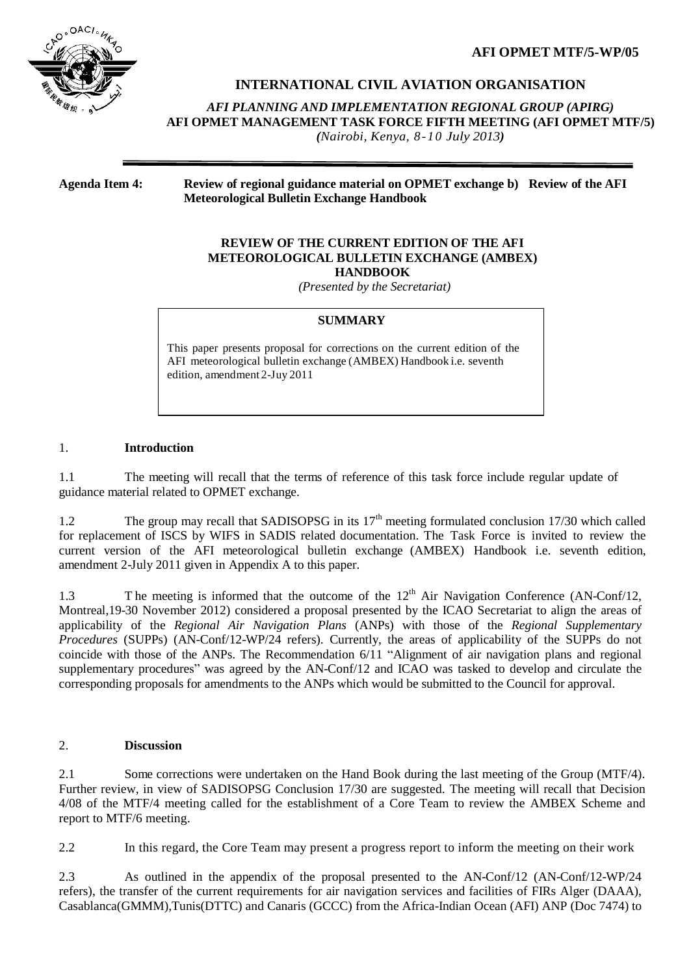**AFI OPMET MTF/5-WP/05**



**INTERNATIONAL CIVIL AVIATION ORGANISATION**

*AFI PLANNING AND IMPLEMENTATION REGIONAL GROUP (APIRG)* **AFI OPMET MANAGEMENT TASK FORCE FIFTH MEETING (AFI OPMET MTF/5)** *(Nairobi, Kenya, 8-10 July 2013)*

**Agenda Item 4: Review of regional guidance material on OPMET exchange b) Review of the AFI Meteorological Bulletin Exchange Handbook**

#### **REVIEW OF THE CURRENT EDITION OF THE AFI METEOROLOGICAL BULLETIN EXCHANGE (AMBEX) HANDBOOK**

*(Presented by the Secretariat)*

## **SUMMARY**

This paper presents proposal for corrections on the current edition of the AFI meteorological bulletin exchange (AMBEX) Handbook i.e. seventh edition, amendment 2-Juy 2011

## 1. **Introduction**

1.1 The meeting will recall that the terms of reference of this task force include regular update of guidance material related to OPMET exchange.

1.2 The group may recall that SADISOPSG in its  $17<sup>th</sup>$  meeting formulated conclusion 17/30 which called for replacement of ISCS by WIFS in SADIS related documentation. The Task Force is invited to review the current version of the AFI meteorological bulletin exchange (AMBEX) Handbook i.e. seventh edition, amendment 2-July 2011 given in Appendix A to this paper.

1.3 The meeting is informed that the outcome of the  $12<sup>th</sup>$  Air Navigation Conference (AN-Conf/12, Montreal,19-30 November 2012) considered a proposal presented by the ICAO Secretariat to align the areas of applicability of the *Regional Air Navigation Plans* (ANPs) with those of the *Regional Supplementary Procedures* (SUPPs) (AN-Conf/12-WP/24 refers)*.* Currently, the areas of applicability of the SUPPs do not coincide with those of the ANPs. The Recommendation 6/11 "Alignment of air navigation plans and regional supplementary procedures" was agreed by the AN-Conf/12 and ICAO was tasked to develop and circulate the corresponding proposals for amendments to the ANPs which would be submitted to the Council for approval.

# 2. **Discussion**

2.1 Some corrections were undertaken on the Hand Book during the last meeting of the Group (MTF/4). Further review, in view of SADISOPSG Conclusion 17/30 are suggested. The meeting will recall that Decision 4/08 of the MTF/4 meeting called for the establishment of a Core Team to review the AMBEX Scheme and report to MTF/6 meeting.

2.2 In this regard, the Core Team may present a progress report to inform the meeting on their work

2.3 As outlined in the appendix of the proposal presented to the AN-Conf/12 (AN-Conf/12-WP/24 refers), the transfer of the current requirements for air navigation services and facilities of FIRs Alger (DAAA), Casablanca(GMMM),Tunis(DTTC) and Canaris (GCCC) from the Africa-Indian Ocean (AFI) ANP (Doc 7474) to